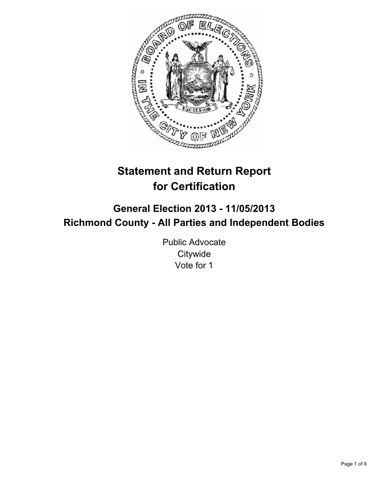

# **Statement and Return Report for Certification**

# **General Election 2013 - 11/05/2013 Richmond County - All Parties and Independent Bodies**

Public Advocate **Citywide** Vote for 1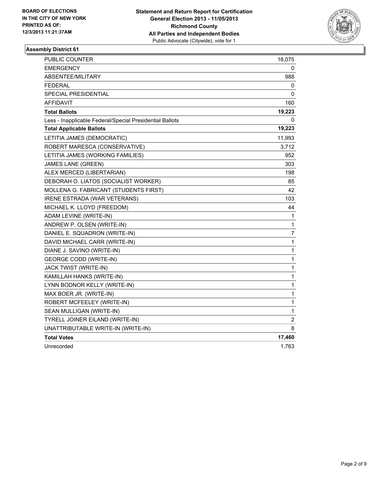

| <b>PUBLIC COUNTER</b>                                    | 18,075       |
|----------------------------------------------------------|--------------|
| EMERGENCY                                                | 0            |
| ABSENTEE/MILITARY                                        | 988          |
| <b>FEDERAL</b>                                           | 0            |
| <b>SPECIAL PRESIDENTIAL</b>                              | 0            |
| <b>AFFIDAVIT</b>                                         | 160          |
| <b>Total Ballots</b>                                     | 19,223       |
| Less - Inapplicable Federal/Special Presidential Ballots | 0            |
| <b>Total Applicable Ballots</b>                          | 19,223       |
| LETITIA JAMES (DEMOCRATIC)                               | 11,993       |
| ROBERT MARESCA (CONSERVATIVE)                            | 3,712        |
| LETITIA JAMES (WORKING FAMILIES)                         | 952          |
| <b>JAMES LANE (GREEN)</b>                                | 303          |
| ALEX MERCED (LIBERTARIAN)                                | 198          |
| DEBORAH O. LIATOS (SOCIALIST WORKER)                     | 85           |
| MOLLENA G. FABRICANT (STUDENTS FIRST)                    | 42           |
| IRENE ESTRADA (WAR VETERANS)                             | 103          |
| MICHAEL K. LLOYD (FREEDOM)                               | 44           |
| ADAM LEVINE (WRITE-IN)                                   | $\mathbf{1}$ |
| ANDREW P. OLSEN (WRITE-IN)                               | $\mathbf{1}$ |
| DANIEL E. SQUADRON (WRITE-IN)                            | 7            |
| DAVID MICHAEL CARR (WRITE-IN)                            | 1            |
| DIANE J. SAVINO (WRITE-IN)                               | 1            |
| <b>GEORGE CODD (WRITE-IN)</b>                            | 1            |
| JACK TWIST (WRITE-IN)                                    | 1            |
| KAMILLAH HANKS (WRITE-IN)                                | 1            |
| LYNN BODNOR KELLY (WRITE-IN)                             | $\mathbf{1}$ |
| MAX BOER JR. (WRITE-IN)                                  | $\mathbf{1}$ |
| ROBERT MCFEELEY (WRITE-IN)                               | 1            |
| SEAN MULLIGAN (WRITE-IN)                                 | 1            |
| TYRELL JOINER EILAND (WRITE-IN)                          | 2            |
| UNATTRIBUTABLE WRITE-IN (WRITE-IN)                       | 8            |
| <b>Total Votes</b>                                       | 17,460       |
| Unrecorded                                               | 1,763        |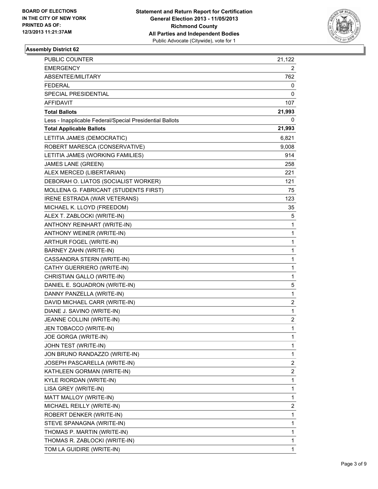

| <b>PUBLIC COUNTER</b>                                    | 21,122                  |
|----------------------------------------------------------|-------------------------|
| <b>EMERGENCY</b>                                         | 2                       |
| ABSENTEE/MILITARY                                        | 762                     |
| <b>FEDERAL</b>                                           | 0                       |
| SPECIAL PRESIDENTIAL                                     | 0                       |
| AFFIDAVIT                                                | 107                     |
| <b>Total Ballots</b>                                     | 21,993                  |
| Less - Inapplicable Federal/Special Presidential Ballots | 0                       |
| <b>Total Applicable Ballots</b>                          | 21,993                  |
| LETITIA JAMES (DEMOCRATIC)                               | 6,821                   |
| ROBERT MARESCA (CONSERVATIVE)                            | 9,008                   |
| LETITIA JAMES (WORKING FAMILIES)                         | 914                     |
| JAMES LANE (GREEN)                                       | 258                     |
| ALEX MERCED (LIBERTARIAN)                                | 221                     |
| DEBORAH O. LIATOS (SOCIALIST WORKER)                     | 121                     |
| MOLLENA G. FABRICANT (STUDENTS FIRST)                    | 75                      |
| IRENE ESTRADA (WAR VETERANS)                             | 123                     |
| MICHAEL K. LLOYD (FREEDOM)                               | 35                      |
| ALEX T. ZABLOCKI (WRITE-IN)                              | 5                       |
| ANTHONY REINHART (WRITE-IN)                              | 1                       |
| ANTHONY WEINER (WRITE-IN)                                | 1                       |
| ARTHUR FOGEL (WRITE-IN)                                  | 1                       |
| BARNEY ZAHN (WRITE-IN)                                   | 1                       |
| CASSANDRA STERN (WRITE-IN)                               | 1                       |
| CATHY GUERRIERO (WRITE-IN)                               | 1                       |
| CHRISTIAN GALLO (WRITE-IN)                               | 1                       |
| DANIEL E. SQUADRON (WRITE-IN)                            | 5                       |
| DANNY PANZELLA (WRITE-IN)                                | 1                       |
| DAVID MICHAEL CARR (WRITE-IN)                            | 2                       |
| DIANE J. SAVINO (WRITE-IN)                               | 1                       |
| JEANNE COLLINI (WRITE-IN)                                | 2                       |
| JEN TOBACCO (WRITE-IN)                                   | 1                       |
| JOE GORGA (WRITE-IN)                                     | 1                       |
| JOHN TEST (WRITE-IN)                                     | 1                       |
| JON BRUNO RANDAZZO (WRITE-IN)                            | 1                       |
| JOSEPH PASCARELLA (WRITE-IN)                             | 2                       |
| KATHLEEN GORMAN (WRITE-IN)                               | $\overline{\mathbf{c}}$ |
| KYLE RIORDAN (WRITE-IN)                                  | 1                       |
| LISA GREY (WRITE-IN)                                     | 1                       |
| MATT MALLOY (WRITE-IN)                                   | 1                       |
| MICHAEL REILLY (WRITE-IN)                                | 2                       |
| ROBERT DENKER (WRITE-IN)                                 | 1                       |
| STEVE SPANAGNA (WRITE-IN)                                | 1                       |
| THOMAS P. MARTIN (WRITE-IN)                              | 1                       |
| THOMAS R. ZABLOCKI (WRITE-IN)                            | 1                       |
| TOM LA GUIDIRE (WRITE-IN)                                | 1                       |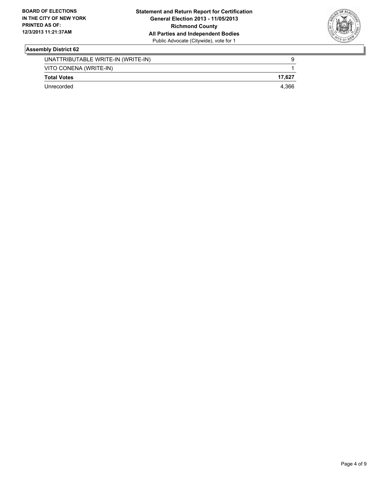

| UNATTRIBUTABLE WRITE-IN (WRITE-IN) | 9      |
|------------------------------------|--------|
| VITO CONENA (WRITE-IN)             |        |
| <b>Total Votes</b>                 | 17.627 |
| Unrecorded                         | 4.366  |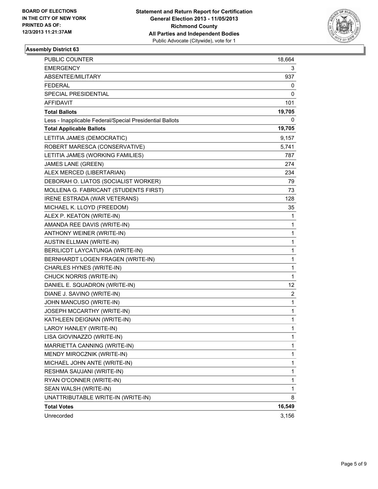

| PUBLIC COUNTER                                           | 18,664 |
|----------------------------------------------------------|--------|
| <b>EMERGENCY</b>                                         | 3      |
| ABSENTEE/MILITARY                                        | 937    |
| FEDERAL                                                  | 0      |
| SPECIAL PRESIDENTIAL                                     | 0      |
| AFFIDAVIT                                                | 101    |
| <b>Total Ballots</b>                                     | 19,705 |
| Less - Inapplicable Federal/Special Presidential Ballots | 0      |
| <b>Total Applicable Ballots</b>                          | 19,705 |
| LETITIA JAMES (DEMOCRATIC)                               | 9,157  |
| ROBERT MARESCA (CONSERVATIVE)                            | 5,741  |
| LETITIA JAMES (WORKING FAMILIES)                         | 787    |
| JAMES LANE (GREEN)                                       | 274    |
| ALEX MERCED (LIBERTARIAN)                                | 234    |
| DEBORAH O. LIATOS (SOCIALIST WORKER)                     | 79     |
| MOLLENA G. FABRICANT (STUDENTS FIRST)                    | 73     |
| IRENE ESTRADA (WAR VETERANS)                             | 128    |
| MICHAEL K. LLOYD (FREEDOM)                               | 35     |
| ALEX P. KEATON (WRITE-IN)                                | 1      |
| AMANDA REE DAVIS (WRITE-IN)                              | 1      |
| ANTHONY WEINER (WRITE-IN)                                | 1      |
| <b>AUSTIN ELLMAN (WRITE-IN)</b>                          | 1      |
| BERILICDT LAYCATUNGA (WRITE-IN)                          | 1      |
| BERNHARDT LOGEN FRAGEN (WRITE-IN)                        | 1      |
| CHARLES HYNES (WRITE-IN)                                 | 1      |
| CHUCK NORRIS (WRITE-IN)                                  | 1      |
| DANIEL E. SQUADRON (WRITE-IN)                            | 12     |
| DIANE J. SAVINO (WRITE-IN)                               | 2      |
| JOHN MANCUSO (WRITE-IN)                                  | 1      |
| JOSEPH MCCARTHY (WRITE-IN)                               | 1      |
| KATHLEEN DEIGNAN (WRITE-IN)                              | 1      |
| LAROY HANLEY (WRITE-IN)                                  | 1      |
| LISA GIOVINAZZO (WRITE-IN)                               | 1      |
| MARRIETTA CANNING (WRITE-IN)                             | 1      |
| MENDY MIROCZNIK (WRITE-IN)                               | 1      |
| MICHAEL JOHN ANTE (WRITE-IN)                             | 1      |
| RESHMA SAUJANI (WRITE-IN)                                | 1      |
| RYAN O'CONNER (WRITE-IN)                                 | 1      |
| SEAN WALSH (WRITE-IN)                                    | 1      |
| UNATTRIBUTABLE WRITE-IN (WRITE-IN)                       | 8      |
| <b>Total Votes</b>                                       | 16,549 |
| Unrecorded                                               | 3,156  |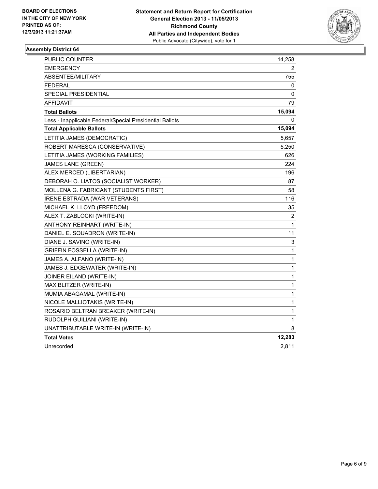

| <b>PUBLIC COUNTER</b>                                    | 14,258       |
|----------------------------------------------------------|--------------|
| EMERGENCY                                                | 2            |
| ABSENTEE/MILITARY                                        | 755          |
| <b>FEDERAL</b>                                           | 0            |
| SPECIAL PRESIDENTIAL                                     | 0            |
| <b>AFFIDAVIT</b>                                         | 79           |
| <b>Total Ballots</b>                                     | 15,094       |
| Less - Inapplicable Federal/Special Presidential Ballots | 0            |
| <b>Total Applicable Ballots</b>                          | 15,094       |
| LETITIA JAMES (DEMOCRATIC)                               | 5,657        |
| ROBERT MARESCA (CONSERVATIVE)                            | 5,250        |
| LETITIA JAMES (WORKING FAMILIES)                         | 626          |
| <b>JAMES LANE (GREEN)</b>                                | 224          |
| ALEX MERCED (LIBERTARIAN)                                | 196          |
| DEBORAH O. LIATOS (SOCIALIST WORKER)                     | 87           |
| MOLLENA G. FABRICANT (STUDENTS FIRST)                    | 58           |
| <b>IRENE ESTRADA (WAR VETERANS)</b>                      | 116          |
| MICHAEL K. LLOYD (FREEDOM)                               | 35           |
| ALEX T. ZABLOCKI (WRITE-IN)                              | 2            |
| ANTHONY REINHART (WRITE-IN)                              | 1            |
| DANIEL E. SQUADRON (WRITE-IN)                            | 11           |
| DIANE J. SAVINO (WRITE-IN)                               | 3            |
| <b>GRIFFIN FOSSELLA (WRITE-IN)</b>                       | 1            |
| JAMES A. ALFANO (WRITE-IN)                               | 1            |
| JAMES J. EDGEWATER (WRITE-IN)                            | 1            |
| JOINER EILAND (WRITE-IN)                                 | $\mathbf{1}$ |
| MAX BLITZER (WRITE-IN)                                   | $\mathbf{1}$ |
| MUMIA ABAGAMAL (WRITE-IN)                                | 1            |
| NICOLE MALLIOTAKIS (WRITE-IN)                            | 1            |
| ROSARIO BELTRAN BREAKER (WRITE-IN)                       | $\mathbf{1}$ |
| RUDOLPH GUILIANI (WRITE-IN)                              | 1            |
| UNATTRIBUTABLE WRITE-IN (WRITE-IN)                       | 8            |
| <b>Total Votes</b>                                       | 12,283       |
| Unrecorded                                               | 2,811        |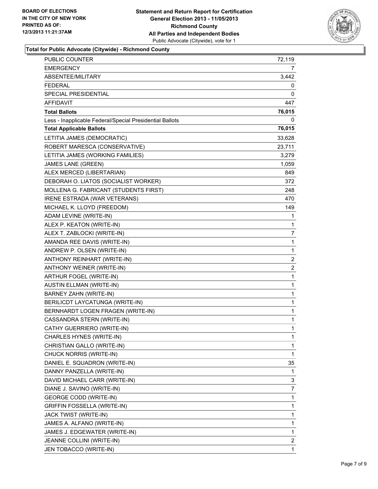

**Total for Public Advocate (Citywide) - Richmond County**

| <b>PUBLIC COUNTER</b>                                    | 72,119         |
|----------------------------------------------------------|----------------|
| <b>EMERGENCY</b>                                         | 7              |
| ABSENTEE/MILITARY                                        | 3,442          |
| <b>FEDERAL</b>                                           | 0              |
| SPECIAL PRESIDENTIAL                                     | 0              |
| AFFIDAVIT                                                | 447            |
| <b>Total Ballots</b>                                     | 76,015         |
| Less - Inapplicable Federal/Special Presidential Ballots | 0              |
| <b>Total Applicable Ballots</b>                          | 76,015         |
| LETITIA JAMES (DEMOCRATIC)                               | 33,628         |
| ROBERT MARESCA (CONSERVATIVE)                            | 23,711         |
| LETITIA JAMES (WORKING FAMILIES)                         | 3,279          |
| JAMES LANE (GREEN)                                       | 1,059          |
| ALEX MERCED (LIBERTARIAN)                                | 849            |
| DEBORAH O. LIATOS (SOCIALIST WORKER)                     | 372            |
| MOLLENA G. FABRICANT (STUDENTS FIRST)                    | 248            |
| IRENE ESTRADA (WAR VETERANS)                             | 470            |
| MICHAEL K. LLOYD (FREEDOM)                               | 149            |
| ADAM LEVINE (WRITE-IN)                                   | 1              |
| ALEX P. KEATON (WRITE-IN)                                | 1              |
| ALEX T. ZABLOCKI (WRITE-IN)                              | 7              |
| AMANDA REE DAVIS (WRITE-IN)                              | $\mathbf{1}$   |
| ANDREW P. OLSEN (WRITE-IN)                               | 1              |
| ANTHONY REINHART (WRITE-IN)                              | 2              |
| ANTHONY WEINER (WRITE-IN)                                | $\overline{2}$ |
| ARTHUR FOGEL (WRITE-IN)                                  | 1              |
| <b>AUSTIN ELLMAN (WRITE-IN)</b>                          | 1              |
| BARNEY ZAHN (WRITE-IN)                                   | 1              |
| BERILICDT LAYCATUNGA (WRITE-IN)                          | 1              |
| BERNHARDT LOGEN FRAGEN (WRITE-IN)                        | 1              |
| CASSANDRA STERN (WRITE-IN)                               | $\mathbf 1$    |
| CATHY GUERRIERO (WRITE-IN)                               | 1              |
| CHARLES HYNES (WRITE-IN)                                 | 1              |
| CHRISTIAN GALLO (WRITE-IN)                               | $\mathbf{1}$   |
| CHUCK NORRIS (WRITE-IN)                                  | 1              |
| DANIEL E. SQUADRON (WRITE-IN)                            | 35             |
| DANNY PANZELLA (WRITE-IN)                                | 1              |
| DAVID MICHAEL CARR (WRITE-IN)                            | 3              |
| DIANE J. SAVINO (WRITE-IN)                               | 7              |
| <b>GEORGE CODD (WRITE-IN)</b>                            | 1              |
| <b>GRIFFIN FOSSELLA (WRITE-IN)</b>                       | 1              |
| JACK TWIST (WRITE-IN)                                    | 1              |
| JAMES A. ALFANO (WRITE-IN)                               | $\mathbf{1}$   |
| JAMES J. EDGEWATER (WRITE-IN)                            | 1              |
| JEANNE COLLINI (WRITE-IN)                                | $\mathbf{2}$   |
| JEN TOBACCO (WRITE-IN)                                   | $\mathbf{1}$   |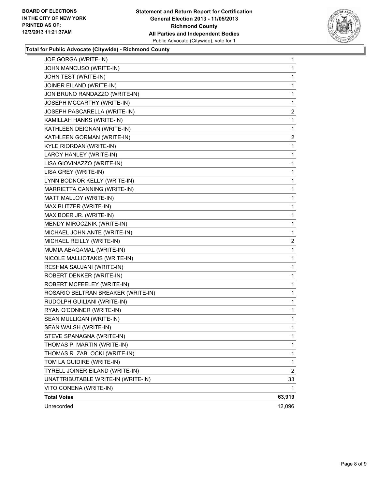

## **Total for Public Advocate (Citywide) - Richmond County**

| JOE GORGA (WRITE-IN)               | 1            |
|------------------------------------|--------------|
| JOHN MANCUSO (WRITE-IN)            | 1            |
| JOHN TEST (WRITE-IN)               | 1            |
| JOINER EILAND (WRITE-IN)           | 1            |
| JON BRUNO RANDAZZO (WRITE-IN)      | 1            |
| JOSEPH MCCARTHY (WRITE-IN)         | 1            |
| JOSEPH PASCARELLA (WRITE-IN)       | $\mathbf{2}$ |
| KAMILLAH HANKS (WRITE-IN)          | 1            |
| KATHLEEN DEIGNAN (WRITE-IN)        | 1            |
| KATHLEEN GORMAN (WRITE-IN)         | 2            |
| KYLE RIORDAN (WRITE-IN)            | 1            |
| LAROY HANLEY (WRITE-IN)            | 1            |
| LISA GIOVINAZZO (WRITE-IN)         | 1            |
| LISA GREY (WRITE-IN)               | 1            |
| LYNN BODNOR KELLY (WRITE-IN)       | 1            |
| MARRIETTA CANNING (WRITE-IN)       | 1            |
| MATT MALLOY (WRITE-IN)             | 1            |
| MAX BLITZER (WRITE-IN)             | 1            |
| MAX BOER JR. (WRITE-IN)            | 1            |
| MENDY MIROCZNIK (WRITE-IN)         | 1            |
| MICHAEL JOHN ANTE (WRITE-IN)       | 1            |
| MICHAEL REILLY (WRITE-IN)          | 2            |
| MUMIA ABAGAMAL (WRITE-IN)          | 1            |
| NICOLE MALLIOTAKIS (WRITE-IN)      | 1            |
| RESHMA SAUJANI (WRITE-IN)          | 1            |
| ROBERT DENKER (WRITE-IN)           | 1            |
| ROBERT MCFEELEY (WRITE-IN)         | 1            |
| ROSARIO BELTRAN BREAKER (WRITE-IN) | 1            |
| RUDOLPH GUILIANI (WRITE-IN)        | 1            |
| RYAN O'CONNER (WRITE-IN)           | 1            |
| SEAN MULLIGAN (WRITE-IN)           | 1            |
| SEAN WALSH (WRITE-IN)              | 1            |
| STEVE SPANAGNA (WRITE-IN)          | 1            |
| THOMAS P. MARTIN (WRITE-IN)        | 1            |
| THOMAS R. ZABLOCKI (WRITE-IN)      | 1            |
| TOM LA GUIDIRE (WRITE-IN)          | 1            |
| TYRELL JOINER EILAND (WRITE-IN)    | 2            |
| UNATTRIBUTABLE WRITE-IN (WRITE-IN) | 33           |
| VITO CONENA (WRITE-IN)             | 1            |
| <b>Total Votes</b>                 | 63,919       |
| Unrecorded                         | 12,096       |